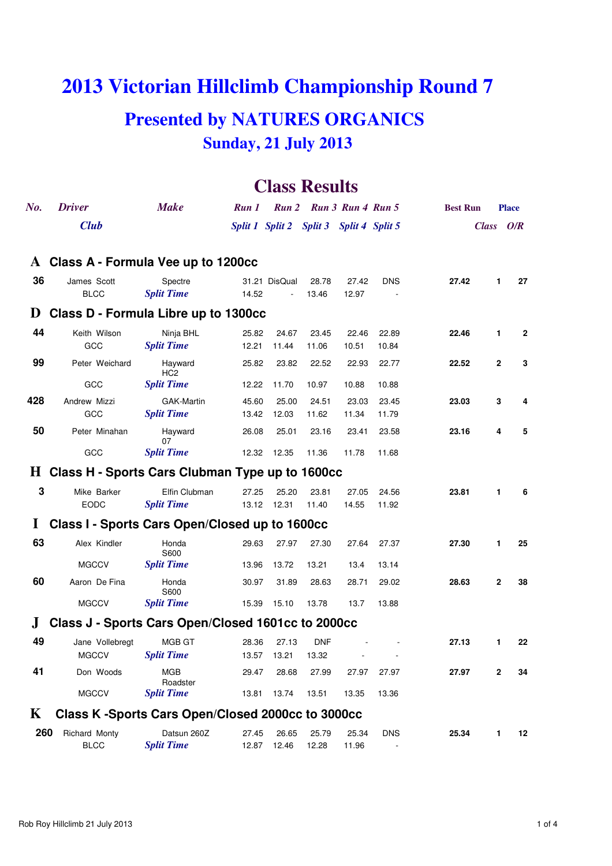# **2013 Victorian Hillclimb Championship Round 7 Presented by NATURES ORGANICS Sunday, 21 July 2013**

# **Class Results**

| $N_{0}$ .    | <b>Driver</b>                                      | <b>Make</b>                                      | Run 1 |                                         |            | Run 2 Run 3 Run 4 Run 5 |            | <b>Best Run</b> |              | <b>Place</b> |
|--------------|----------------------------------------------------|--------------------------------------------------|-------|-----------------------------------------|------------|-------------------------|------------|-----------------|--------------|--------------|
|              | <b>Club</b>                                        |                                                  |       | Split 1 Split 2 Split 3 Split 4 Split 5 |            |                         |            |                 | Class O/R    |              |
|              |                                                    |                                                  |       |                                         |            |                         |            |                 |              |              |
| $\mathbf{A}$ | Class A - Formula Vee up to 1200cc                 |                                                  |       |                                         |            |                         |            |                 |              |              |
| 36           | James Scott                                        | Spectre                                          |       | 31.21 DisQual                           | 28.78      | 27.42                   | <b>DNS</b> | 27.42           | 1            | 27           |
|              | <b>BLCC</b>                                        | <b>Split Time</b>                                | 14.52 |                                         | 13.46      | 12.97                   |            |                 |              |              |
| $\bf{D}$     | Class D - Formula Libre up to 1300cc               |                                                  |       |                                         |            |                         |            |                 |              |              |
| 44           | Keith Wilson                                       | Ninja BHL                                        | 25.82 | 24.67                                   | 23.45      | 22.46                   | 22.89      | 22.46           | $\mathbf{1}$ | $\mathbf{2}$ |
|              | GCC                                                | <b>Split Time</b>                                | 12.21 | 11.44                                   | 11.06      | 10.51                   | 10.84      |                 |              |              |
| 99           | Peter Weichard                                     | Hayward<br>HC <sub>2</sub>                       | 25.82 | 23.82                                   | 22.52      | 22.93                   | 22.77      | 22.52           | $\mathbf{2}$ | 3            |
|              | GCC                                                | <b>Split Time</b>                                | 12.22 | 11.70                                   | 10.97      | 10.88                   | 10.88      |                 |              |              |
| 428          | Andrew Mizzi                                       | GAK-Martin                                       | 45.60 | 25.00                                   | 24.51      | 23.03                   | 23.45      | 23.03           | 3            | 4            |
|              | GCC                                                | <b>Split Time</b>                                | 13.42 | 12.03                                   | 11.62      | 11.34                   | 11.79      |                 |              |              |
| 50           | Peter Minahan                                      | Hayward<br>07                                    | 26.08 | 25.01                                   | 23.16      | 23.41                   | 23.58      | 23.16           | 4            | 5            |
|              | GCC                                                | <b>Split Time</b>                                | 12.32 | 12.35                                   | 11.36      | 11.78                   | 11.68      |                 |              |              |
|              | H Class H - Sports Cars Clubman Type up to 1600cc  |                                                  |       |                                         |            |                         |            |                 |              |              |
| 3            | Mike Barker                                        | Elfin Clubman                                    | 27.25 | 25.20                                   | 23.81      | 27.05                   | 24.56      | 23.81           | 1            | 6            |
|              | <b>EODC</b>                                        | <b>Split Time</b>                                | 13.12 | 12.31                                   | 11.40      | 14.55                   | 11.92      |                 |              |              |
| 1            | Class I - Sports Cars Open/Closed up to 1600cc     |                                                  |       |                                         |            |                         |            |                 |              |              |
| 63           |                                                    |                                                  |       |                                         |            |                         |            |                 |              |              |
|              | Alex Kindler                                       | Honda<br>S600                                    | 29.63 | 27.97                                   | 27.30      | 27.64                   | 27.37      | 27.30           | 1            | 25           |
|              | <b>MGCCV</b>                                       | <b>Split Time</b>                                | 13.96 | 13.72                                   | 13.21      | 13.4                    | 13.14      |                 |              |              |
| 60           | Aaron De Fina                                      | Honda<br>S600                                    | 30.97 | 31.89                                   | 28.63      | 28.71                   | 29.02      | 28.63           | $\mathbf{2}$ | 38           |
|              | <b>MGCCV</b>                                       | <b>Split Time</b>                                | 15.39 | 15.10                                   | 13.78      | 13.7                    | 13.88      |                 |              |              |
|              | Class J - Sports Cars Open/Closed 1601cc to 2000cc |                                                  |       |                                         |            |                         |            |                 |              |              |
| 49           | Jane Vollebregt                                    | MGB GT                                           | 28.36 | 27.13                                   | <b>DNF</b> |                         |            | 27.13           | 1            | 22           |
|              | MGCCV                                              | <b>Split Time</b>                                |       | 13.57 13.21                             | 13.32      |                         |            |                 |              |              |
| 41           | Don Woods                                          | <b>MGB</b><br>Roadster                           | 29.47 | 28.68                                   | 27.99      | 27.97                   | 27.97      | 27.97           | 2            | 34           |
|              | <b>MGCCV</b>                                       | <b>Split Time</b>                                | 13.81 | 13.74                                   | 13.51      | 13.35                   | 13.36      |                 |              |              |
| K            |                                                    | Class K-Sports Cars Open/Closed 2000cc to 3000cc |       |                                         |            |                         |            |                 |              |              |
| 260          | Richard Monty                                      | Datsun 260Z                                      | 27.45 | 26.65                                   | 25.79      | 25.34                   | <b>DNS</b> | 25.34           | 1            | 12           |
|              | <b>BLCC</b>                                        | <b>Split Time</b>                                | 12.87 | 12.46                                   | 12.28      | 11.96                   |            |                 |              |              |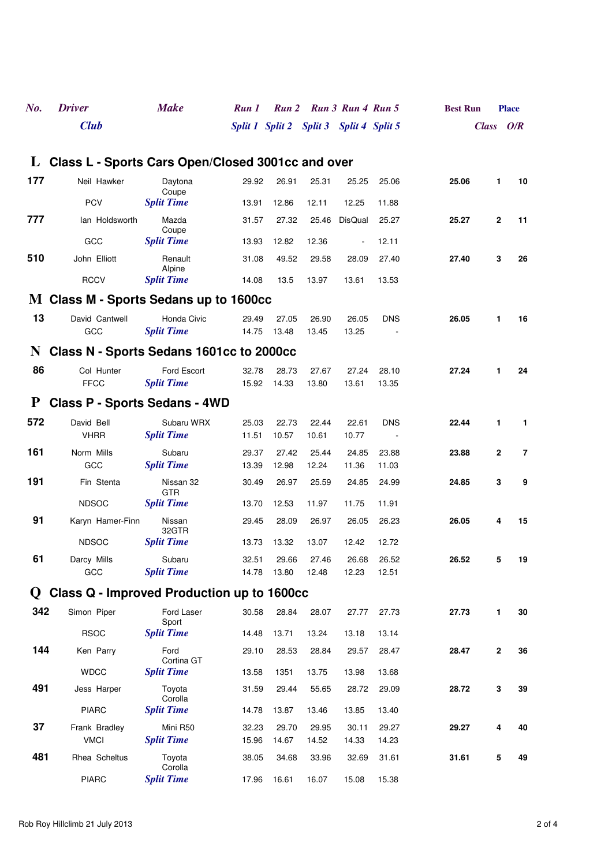| No.         | <b>Driver</b>                                       | <b>Make</b>                  | Run 1 |                                         |       | Run 2 Run 3 Run 4 Run 5  |            | <b>Best Run</b> |              | <b>Place</b> |
|-------------|-----------------------------------------------------|------------------------------|-------|-----------------------------------------|-------|--------------------------|------------|-----------------|--------------|--------------|
|             | <b>Club</b>                                         |                              |       | Split 1 Split 2 Split 3 Split 4 Split 5 |       |                          |            |                 | Class O/R    |              |
|             | L Class L - Sports Cars Open/Closed 3001cc and over |                              |       |                                         |       |                          |            |                 |              |              |
|             |                                                     |                              |       |                                         |       |                          |            |                 |              |              |
| 177         | Neil Hawker                                         | Daytona<br>Coupe             | 29.92 | 26.91                                   | 25.31 | 25.25                    | 25.06      | 25.06           | 1            | 10           |
|             | <b>PCV</b>                                          | <b>Split Time</b>            | 13.91 | 12.86                                   | 12.11 | 12.25                    | 11.88      |                 |              |              |
| 777         | lan Holdsworth                                      | Mazda                        | 31.57 | 27.32                                   | 25.46 | <b>DisQual</b>           | 25.27      | 25.27           | $\mathbf{2}$ | 11           |
|             | GCC                                                 | Coupe<br><b>Split Time</b>   | 13.93 | 12.82                                   | 12.36 | $\overline{\phantom{a}}$ | 12.11      |                 |              |              |
| 510         | John Elliott                                        | Renault                      | 31.08 | 49.52                                   | 29.58 | 28.09                    | 27.40      | 27.40           | 3            | 26           |
|             | <b>RCCV</b>                                         | Alpine<br><b>Split Time</b>  | 14.08 | 13.5                                    | 13.97 | 13.61                    | 13.53      |                 |              |              |
|             | M Class M - Sports Sedans up to 1600cc              |                              |       |                                         |       |                          |            |                 |              |              |
| 13          | David Cantwell                                      | Honda Civic                  | 29.49 | 27.05                                   | 26.90 | 26.05                    | <b>DNS</b> | 26.05           | 1            | 16           |
|             | GCC                                                 | <b>Split Time</b>            | 14.75 | 13.48                                   | 13.45 | 13.25                    |            |                 |              |              |
| N           | Class N - Sports Sedans 1601cc to 2000cc            |                              |       |                                         |       |                          |            |                 |              |              |
| 86          | Col Hunter                                          | Ford Escort                  | 32.78 | 28.73                                   | 27.67 | 27.24                    | 28.10      | 27.24           | 1            | 24           |
|             | <b>FFCC</b>                                         | <b>Split Time</b>            | 15.92 | 14.33                                   | 13.80 | 13.61                    | 13.35      |                 |              |              |
| P           | <b>Class P - Sports Sedans - 4WD</b>                |                              |       |                                         |       |                          |            |                 |              |              |
| 572         | David Bell                                          | Subaru WRX                   | 25.03 | 22.73                                   | 22.44 | 22.61                    | <b>DNS</b> | 22.44           | 1            | $\mathbf{1}$ |
|             | <b>VHRR</b>                                         | <b>Split Time</b>            | 11.51 | 10.57                                   | 10.61 | 10.77                    |            |                 |              |              |
| 161         | Norm Mills                                          | Subaru                       | 29.37 | 27.42                                   | 25.44 | 24.85                    | 23.88      | 23.88           | $\mathbf{2}$ | 7            |
|             | GCC                                                 | <b>Split Time</b>            | 13.39 | 12.98                                   | 12.24 | 11.36                    | 11.03      |                 |              |              |
| 191         | Fin Stenta                                          | Nissan 32<br><b>GTR</b>      | 30.49 | 26.97                                   | 25.59 | 24.85                    | 24.99      | 24.85           | 3            | 9            |
|             | <b>NDSOC</b>                                        | <b>Split Time</b>            | 13.70 | 12.53                                   | 11.97 | 11.75                    | 11.91      |                 |              |              |
| 91          | Karyn Hamer-Finn                                    | Nissan<br>32GTR              | 29.45 | 28.09                                   | 26.97 | 26.05                    | 26.23      | 26.05           | 4            | 15           |
|             | <b>NDSOC</b>                                        | <b>Split Time</b>            | 13.73 | 13.32                                   | 13.07 | 12.42                    | 12.72      |                 |              |              |
| 61          | Darcy Mills                                         | Subaru                       | 32.51 | 29.66                                   | 27.46 | 26.68                    | 26.52      | 26.52           | 5            | 19           |
|             | GCC                                                 | <b>Split Time</b>            | 14.78 | 13.80                                   | 12.48 | 12.23                    | 12.51      |                 |              |              |
| $\mathbf U$ | Class Q - Improved Production up to 1600cc          |                              |       |                                         |       |                          |            |                 |              |              |
| 342         | Simon Piper                                         | Ford Laser<br>Sport          | 30.58 | 28.84                                   | 28.07 | 27.77                    | 27.73      | 27.73           | 1            | 30           |
|             | <b>RSOC</b>                                         | <b>Split Time</b>            | 14.48 | 13.71                                   | 13.24 | 13.18                    | 13.14      |                 |              |              |
| 144         | Ken Parry                                           | Ford<br>Cortina GT           | 29.10 | 28.53                                   | 28.84 | 29.57                    | 28.47      | 28.47           | $\mathbf 2$  | 36           |
|             | <b>WDCC</b>                                         | <b>Split Time</b>            | 13.58 | 1351                                    | 13.75 | 13.98                    | 13.68      |                 |              |              |
| 491         | Jess Harper                                         | Toyota                       | 31.59 | 29.44                                   | 55.65 | 28.72                    | 29.09      | 28.72           | 3            | 39           |
|             | <b>PIARC</b>                                        | Corolla<br><b>Split Time</b> | 14.78 | 13.87                                   | 13.46 | 13.85                    | 13.40      |                 |              |              |
| 37          | Frank Bradley                                       | Mini R50                     | 32.23 | 29.70                                   | 29.95 | 30.11                    | 29.27      | 29.27           | 4            | 40           |
|             | <b>VMCI</b>                                         | <b>Split Time</b>            | 15.96 | 14.67                                   | 14.52 | 14.33                    | 14.23      |                 |              |              |
| 481         | Rhea Scheltus                                       | Toyota<br>Corolla            | 38.05 | 34.68                                   | 33.96 | 32.69                    | 31.61      | 31.61           | 5            | 49           |
|             | <b>PIARC</b>                                        | <b>Split Time</b>            | 17.96 | 16.61                                   | 16.07 | 15.08                    | 15.38      |                 |              |              |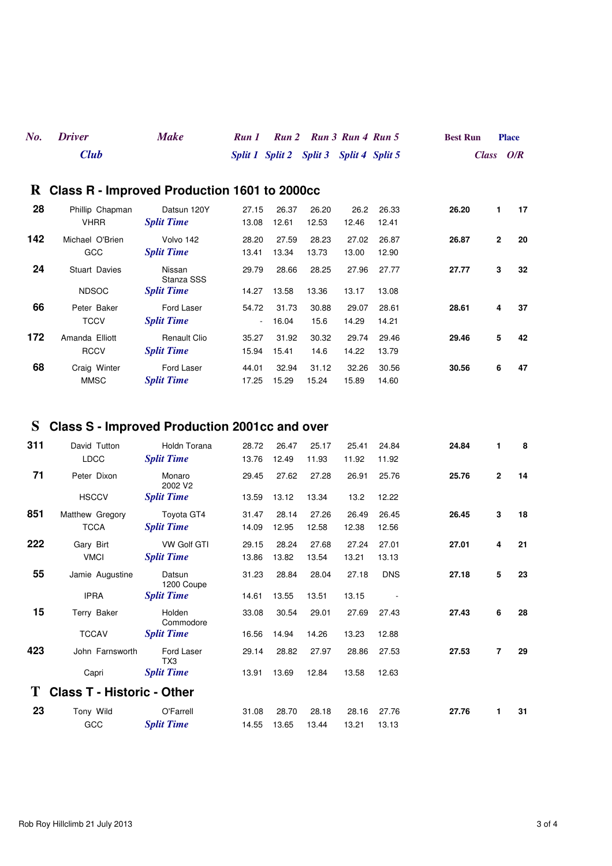| No. Driver  | <b>Make</b> | Run 1 Run 2 Run 3 Run 4 Run 5           |  | <b>Best Run</b> | <b>Place</b> |
|-------------|-------------|-----------------------------------------|--|-----------------|--------------|
| <b>Club</b> |             | Split 1 Split 2 Split 3 Split 4 Split 5 |  |                 | Class $O/R$  |

### **R Class R - Improved Production 1601 to 2000cc**

| 28  | Phillip Chapman<br><b>VHRR</b>       | Datsun 120Y<br><b>Split Time</b>          | 27.15<br>13.08  | 26.37<br>12.61 | 26.20<br>12.53 | 26.2<br>12.46  | 26.33<br>12.41 | 26.20 | 1              | 17 |
|-----|--------------------------------------|-------------------------------------------|-----------------|----------------|----------------|----------------|----------------|-------|----------------|----|
| 142 | Michael O'Brien<br>GCC               | Volvo 142<br><b>Split Time</b>            | 28.20<br>13.41  | 27.59<br>13.34 | 28.23<br>13.73 | 27.02<br>13.00 | 26.87<br>12.90 | 26.87 | $\overline{2}$ | 20 |
| 24  | <b>Stuart Davies</b><br><b>NDSOC</b> | Nissan<br>Stanza SSS<br><b>Split Time</b> | 29.79<br>14.27  | 28.66<br>13.58 | 28.25<br>13.36 | 27.96<br>13.17 | 27.77<br>13.08 | 27.77 | 3              | 32 |
| 66  | Peter Baker<br><b>TCCV</b>           | Ford Laser<br><b>Split Time</b>           | 54.72<br>$\sim$ | 31.73<br>16.04 | 30.88<br>15.6  | 29.07<br>14.29 | 28.61<br>14.21 | 28.61 | 4              | 37 |
| 172 | Amanda Elliott<br><b>RCCV</b>        | <b>Renault Clio</b><br><b>Split Time</b>  | 35.27<br>15.94  | 31.92<br>15.41 | 30.32<br>14.6  | 29.74<br>14.22 | 29.46<br>13.79 | 29.46 | 5              | 42 |
| 68  | Craig Winter<br><b>MMSC</b>          | Ford Laser<br><b>Split Time</b>           | 44.01<br>17.25  | 32.94<br>15.29 | 31.12<br>15.24 | 32.26<br>15.89 | 30.56<br>14.60 | 30.56 | 6              | 47 |

## **S Class S - Improved Production 2001cc and over**

| 311 | David Tutton                      | Holdn Torana                  | 28.72 | 26.47 | 25.17 | 25.41 | 24.84      | 24.84 | 1              | 8  |
|-----|-----------------------------------|-------------------------------|-------|-------|-------|-------|------------|-------|----------------|----|
|     | <b>LDCC</b>                       | <b>Split Time</b>             | 13.76 | 12.49 | 11.93 | 11.92 | 11.92      |       |                |    |
| 71  | Peter Dixon                       | Monaro<br>2002 V <sub>2</sub> | 29.45 | 27.62 | 27.28 | 26.91 | 25.76      | 25.76 | $\overline{2}$ | 14 |
|     | <b>HSCCV</b>                      | <b>Split Time</b>             | 13.59 | 13.12 | 13.34 | 13.2  | 12.22      |       |                |    |
| 851 | Matthew Gregory                   | Toyota GT4                    | 31.47 | 28.14 | 27.26 | 26.49 | 26.45      | 26.45 | 3              | 18 |
|     | <b>TCCA</b>                       | <b>Split Time</b>             | 14.09 | 12.95 | 12.58 | 12.38 | 12.56      |       |                |    |
| 222 | Gary Birt                         | <b>VW Golf GTI</b>            | 29.15 | 28.24 | 27.68 | 27.24 | 27.01      | 27.01 | 4              | 21 |
|     | <b>VMCI</b>                       | <b>Split Time</b>             | 13.86 | 13.82 | 13.54 | 13.21 | 13.13      |       |                |    |
| 55  | Jamie Augustine                   | Datsun<br>1200 Coupe          | 31.23 | 28.84 | 28.04 | 27.18 | <b>DNS</b> | 27.18 | 5              | 23 |
|     | <b>IPRA</b>                       | <b>Split Time</b>             | 14.61 | 13.55 | 13.51 | 13.15 |            |       |                |    |
| 15  | Terry Baker                       | Holden<br>Commodore           | 33.08 | 30.54 | 29.01 | 27.69 | 27.43      | 27.43 | 6              | 28 |
|     | <b>TCCAV</b>                      | <b>Split Time</b>             | 16.56 | 14.94 | 14.26 | 13.23 | 12.88      |       |                |    |
| 423 | John Farnsworth                   | Ford Laser<br>TX <sub>3</sub> | 29.14 | 28.82 | 27.97 | 28.86 | 27.53      | 27.53 | $\overline{7}$ | 29 |
|     | Capri                             | <b>Split Time</b>             | 13.91 | 13.69 | 12.84 | 13.58 | 12.63      |       |                |    |
| Т   | <b>Class T - Historic - Other</b> |                               |       |       |       |       |            |       |                |    |
| 23  | Tony Wild                         | O'Farrell                     | 31.08 | 28.70 | 28.18 | 28.16 | 27.76      | 27.76 | 1              | 31 |
|     | GCC                               | <b>Split Time</b>             | 14.55 | 13.65 | 13.44 | 13.21 | 13.13      |       |                |    |